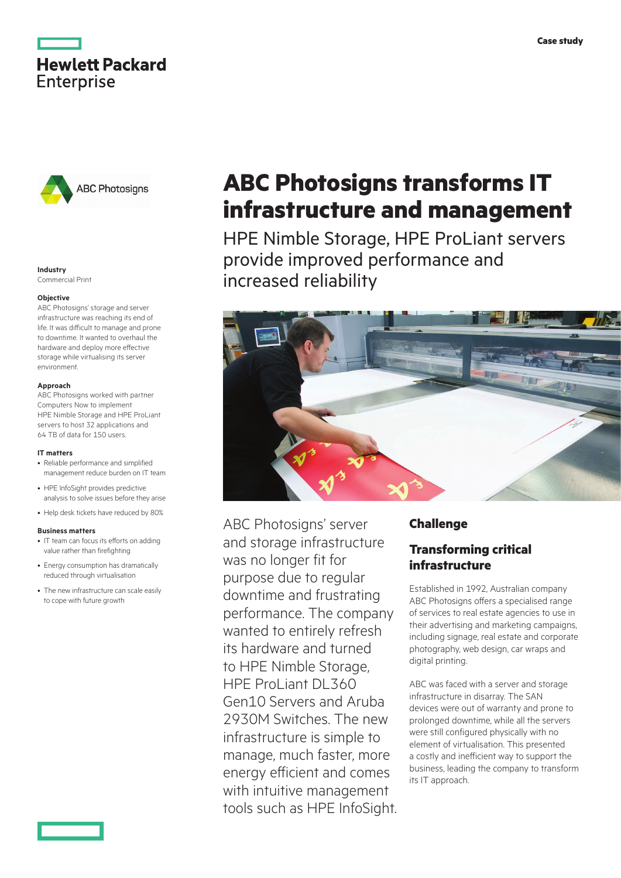



## Commercial Print

## **Objective**

ABC Photosigns' storage and server infrastructure was reaching its end of life. It was difficult to manage and prone to downtime. It wanted to overhaul the hardware and deploy more effective storage while virtualising its server environment.

#### **Approach**

ABC Photosigns worked with partner Computers Now to implement HPE Nimble Storage and HPE ProLiant servers to host 32 applications and 64 TB of data for 150 users.

#### **IT matters**

- Reliable performance and simplified management reduce burden on IT team
- HPE InfoSight provides predictive analysis to solve issues before they arise
- Help desk tickets have reduced by 80%

#### **Business matters**

- IT team can focus its efforts on adding value rather than firefighting
- Energy consumption has dramatically reduced through virtualisation
- The new infrastructure can scale easily to cope with future growth

# **ABC Photosigns transforms IT infrastructure and management**

HPE Nimble Storage, HPE ProLiant servers provide improved performance and Industry<br> **Industry**<br> **Increased reliability** 



ABC Photosigns' server and storage infrastructure was no longer fit for purpose due to regular downtime and frustrating performance. The company wanted to entirely refresh its hardware and turned to HPE Nimble Storage, HPE ProLiant DL360 Gen10 Servers and Aruba 2930M Switches. The new infrastructure is simple to manage, much faster, more energy efficient and comes with intuitive management tools such as HPE InfoSight.

## **Challenge**

## **Transforming critical infrastructure**

Established in 1992, Australian company ABC Photosigns offers a specialised range of services to real estate agencies to use in their advertising and marketing campaigns, including signage, real estate and corporate photography, web design, car wraps and digital printing.

ABC was faced with a server and storage infrastructure in disarray. The SAN devices were out of warranty and prone to prolonged downtime, while all the servers were still configured physically with no element of virtualisation. This presented a costly and inefficient way to support the business, leading the company to transform its IT approach.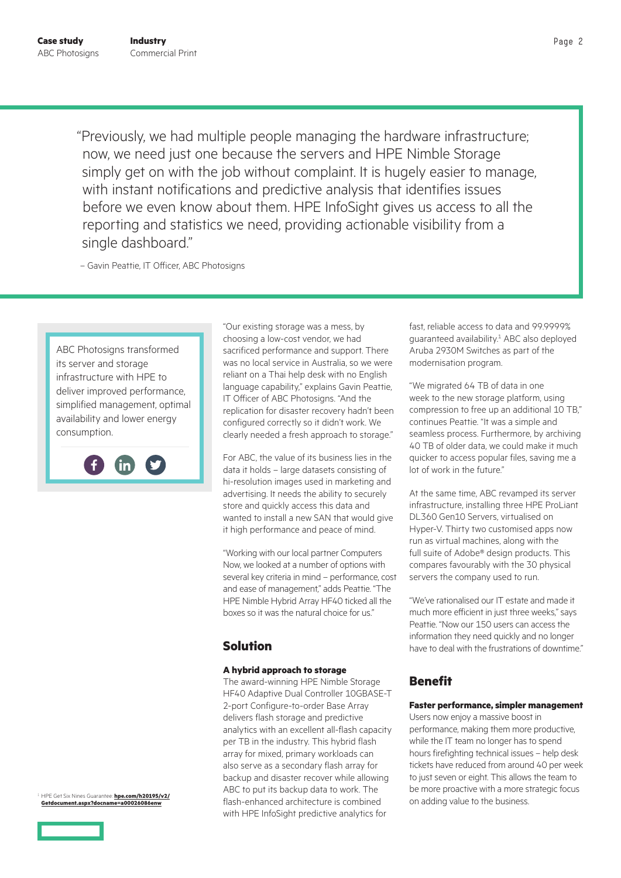"Previously, we had multiple people managing the hardware infrastructure; now, we need just one because the servers and HPE Nimble Storage simply get on with the job without complaint. It is hugely easier to manage, with instant notifications and predictive analysis that identifies issues before we even know about them. HPE InfoSight gives us access to all the reporting and statistics we need, providing actionable visibility from a single dashboard."

– Gavin Peattie, IT Officer, ABC Photosigns

ABC Photosigns transformed its server and storage infrastructure with HPE to deliver improved performance, simplified management, optimal availability and lower energy consumption.



"Our existing storage was a mess, by choosing a low-cost vendor, we had sacrificed performance and support. There was no local service in Australia, so we were reliant on a Thai help desk with no English language capability," explains Gavin Peattie, IT Officer of ABC Photosigns. "And the replication for disaster recovery hadn't been configured correctly so it didn't work. We clearly needed a fresh approach to storage."

For ABC, the value of its business lies in the data it holds – large datasets consisting of hi-resolution images used in marketing and advertising. It needs the ability to securely store and quickly access this data and wanted to install a new SAN that would give it high performance and peace of mind.

"Working with our local partner Computers Now, we looked at a number of options with several key criteria in mind – performance, cost and ease of management," adds Peattie. "The HPE Nimble Hybrid Array HF40 ticked all the boxes so it was the natural choice for us."

## **Solution**

### **A hybrid approach to storage**

The award-winning HPE Nimble Storage HF40 Adaptive Dual Controller 10GBASE-T 2-port Configure-to-order Base Array delivers flash storage and predictive analytics with an excellent all-flash capacity per TB in the industry. This hybrid flash array for mixed, primary workloads can also serve as a secondary flash array for backup and disaster recover while allowing ABC to put its backup data to work. The flash-enhanced architecture is combined with HPE InfoSight predictive analytics for

fast, reliable access to data and 99.9999% guaranteed availability.<sup>1</sup> ABC also deployed Aruba 2930M Switches as part of the modernisation program.

"We migrated 64 TB of data in one week to the new storage platform, using compression to free up an additional 10 TB," continues Peattie. "It was a simple and seamless process. Furthermore, by archiving 40 TB of older data, we could make it much quicker to access popular files, saving me a lot of work in the future."

At the same time, ABC revamped its server infrastructure, installing three HPE ProLiant DL360 Gen10 Servers, virtualised on Hyper-V. Thirty two customised apps now run as virtual machines, along with the full suite of Adobe® design products. This compares favourably with the 30 physical servers the company used to run.

"We've rationalised our IT estate and made it much more efficient in just three weeks," says Peattie. "Now our 150 users can access the information they need quickly and no longer have to deal with the frustrations of downtime"

## **Benefit**

### **Faster performance, simpler management**

Users now enjoy a massive boost in performance, making them more productive, while the IT team no longer has to spend hours firefighting technical issues – help desk tickets have reduced from around 40 per week to just seven or eight. This allows the team to be more proactive with a more strategic focus on adding value to the business.



<sup>1</sup>HPE Get Six Nines Guarantee: **[hpe.com/h20195/v2/](https://www.hpe.com/h20195/v2/Getdocument.aspx?docname=a00026086enw) [Getdocument.aspx?docname=a00026086enw](https://www.hpe.com/h20195/v2/Getdocument.aspx?docname=a00026086enw)**